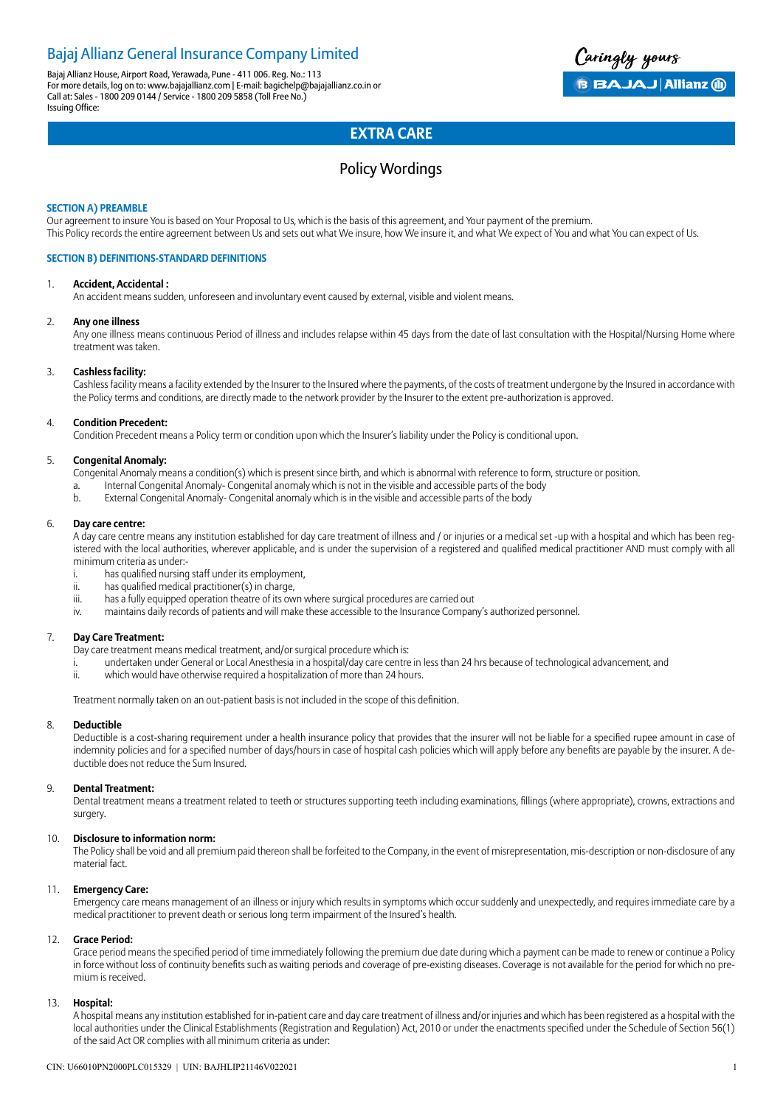### Bajaj Allianz General Insurance Company Limited

Bajaj Allianz House, Airport Road, Yerawada, Pune - 411 006. Reg. No.: 113 For more details, log on to: www.bajajallianz.com | E-mail: bagichelp@bajajallianz.co.in or Call at: Sales - 1800 209 0144 / Service - 1800 209 5858 (Toll Free No.) Issuing Office:

Caringly yours **B BAJAJ Allianz (ii)** 

### **EXTRA CARE**

### Policy Wordings

#### **SECTION A) PREAMBLE**

Our agreement to insure You is based on Your Proposal to Us, which is the basis of this agreement, and Your payment of the premium. This Policy records the entire agreement between Us and sets out what We insure, how We insure it, and what We expect of You and what You can expect of Us.

#### **SECTION B) DEFINITIONS-STANDARD DEFINITIONS**

#### 1. **Accident, Accidental :**

An accident means sudden, unforeseen and involuntary event caused by external, visible and violent means.

#### 2. **Any one illness**

Any one illness means continuous Period of illness and includes relapse within 45 days from the date of last consultation with the Hospital/Nursing Home where treatment was taken.

#### 3. **Cashless facility:**

Cashless facility means a facility extended by the Insurer to the Insured where the payments, of the costs of treatment undergone by the Insured in accordance with the Policy terms and conditions, are directly made to the network provider by the Insurer to the extent pre-authorization is approved.

#### 4. **Condition Precedent:**

Condition Precedent means a Policy term or condition upon which the Insurer's liability under the Policy is conditional upon.

#### 5. **Congenital Anomaly:**

- Congenital Anomaly means a condition(s) which is present since birth, and which is abnormal with reference to form, structure or position.
- a. Internal Congenital Anomaly- Congenital anomaly which is not in the visible and accessible parts of the body
- b. External Congenital Anomaly- Congenital anomaly which is in the visible and accessible parts of the body

#### 6. **Day care centre:**

A day care centre means any institution established for day care treatment of illness and / or injuries or a medical set -up with a hospital and which has been registered with the local authorities, wherever applicable, and is under the supervision of a registered and qualified medical practitioner AND must comply with all minimum criteria as under:-

- i. has qualified nursing staff under its employment,
- ii. has qualified medical practitioner(s) in charge,
- iii. has a fully equipped operation theatre of its own where surgical procedures are carried out
- iv. maintains daily records of patients and will make these accessible to the Insurance Company's authorized personnel.

#### 7. **Day Care Treatment:**

Day care treatment means medical treatment, and/or surgical procedure which is:

- i. undertaken under General or Local Anesthesia in a hospital/day care centre in less than 24 hrs because of technological advancement, and
- ii. which would have otherwise required a hospitalization of more than 24 hours.

Treatment normally taken on an out-patient basis is not included in the scope of this definition.

#### 8. **Deductible**

Deductible is a cost-sharing requirement under a health insurance policy that provides that the insurer will not be liable for a specified rupee amount in case of indemnity policies and for a specified number of days/hours in case of hospital cash policies which will apply before any benefits are payable by the insurer. A deductible does not reduce the Sum Insured.

#### 9. **Dental Treatment:**

Dental treatment means a treatment related to teeth or structures supporting teeth including examinations, fillings (where appropriate), crowns, extractions and surgery.

#### 10. **Disclosure to information norm:**

The Policy shall be void and all premium paid thereon shall be forfeited to the Company, in the event of misrepresentation, mis-description or non-disclosure of any material fact.

#### 11. **Emergency Care:**

Emergency care means management of an illness or injury which results in symptoms which occur suddenly and unexpectedly, and requires immediate care by a medical practitioner to prevent death or serious long term impairment of the Insured's health.

#### 12. **Grace Period:**

Grace period means the specified period of time immediately following the premium due date during which a payment can be made to renew or continue a Policy in force without loss of continuity benefits such as waiting periods and coverage of pre-existing diseases. Coverage is not available for the period for which no premium is received.

#### 13. **Hospital:**

A hospital means any institution established for in-patient care and day care treatment of illness and/or injuries and which has been registered as a hospital with the local authorities under the Clinical Establishments (Registration and Regulation) Act, 2010 or under the enactments specified under the Schedule of Section 56(1) of the said Act OR complies with all minimum criteria as under: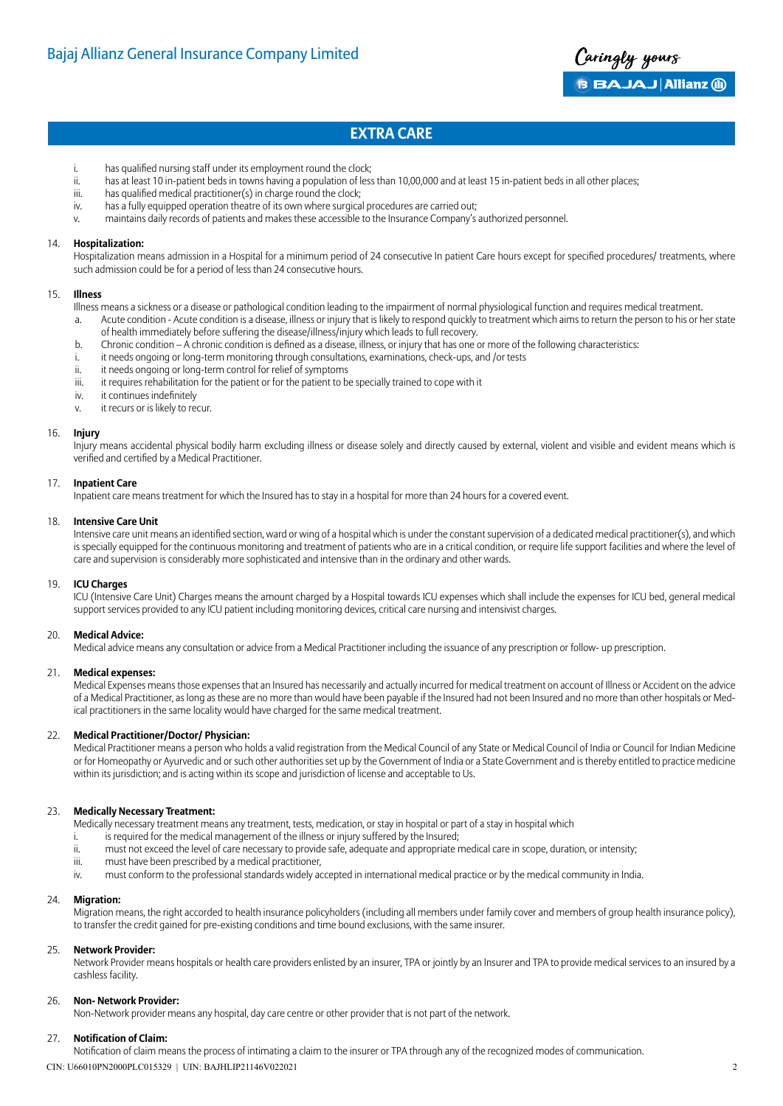

- i. has qualified nursing staff under its employment round the clock;
- ii. has at least 10 in-patient beds in towns having a population of less than 10,00,000 and at least 15 in-patient beds in all other places;
- iii. has qualified medical practitioner(s) in charge round the clock;
- iv. has a fully equipped operation theatre of its own where surgical procedures are carried out;
- v. maintains daily records of patients and makes these accessible to the Insurance Company's authorized personnel.

#### 14. **Hospitalization:**

Hospitalization means admission in a Hospital for a minimum period of 24 consecutive In patient Care hours except for specified procedures/ treatments, where such admission could be for a period of less than 24 consecutive hours.

#### 15. **Illness**

Illness means a sickness or a disease or pathological condition leading to the impairment of normal physiological function and requires medical treatment.

- a. Acute condition Acute condition is a disease, illness or injury that is likely to respond quickly to treatment which aims to return the person to his or her state of health immediately before suffering the disease/illness/injury which leads to full recovery.
- b. Chronic condition A chronic condition is defined as a disease, illness, or injury that has one or more of the following characteristics:
- i. it needs ongoing or long-term monitoring through consultations, examinations, check-ups, and /or tests
- ii. it needs ongoing or long-term control for relief of symptoms
- iii. it requires rehabilitation for the patient or for the patient to be specially trained to cope with it
- iv. it continues indefinitely
- v. it recurs or is likely to recur.

#### 16. **Injury**

Injury means accidental physical bodily harm excluding illness or disease solely and directly caused by external, violent and visible and evident means which is verified and certified by a Medical Practitioner.

#### 17. **Inpatient Care**

Inpatient care means treatment for which the Insured has to stay in a hospital for more than 24 hours for a covered event.

#### 18. **Intensive Care Unit**

Intensive care unit means an identified section, ward or wing of a hospital which is under the constant supervision of a dedicated medical practitioner(s), and which is specially equipped for the continuous monitoring and treatment of patients who are in a critical condition, or require life support facilities and where the level of care and supervision is considerably more sophisticated and intensive than in the ordinary and other wards.

#### 19. **ICU Charges**

ICU (Intensive Care Unit) Charges means the amount charged by a Hospital towards ICU expenses which shall include the expenses for ICU bed, general medical support services provided to any ICU patient including monitoring devices, critical care nursing and intensivist charges.

#### 20. **Medical Advice:**

Medical advice means any consultation or advice from a Medical Practitioner including the issuance of any prescription or follow- up prescription.

#### 21. **Medical expenses:**

Medical Expenses means those expenses that an Insured has necessarily and actually incurred for medical treatment on account of Illness or Accident on the advice of a Medical Practitioner, as long as these are no more than would have been payable if the Insured had not been Insured and no more than other hospitals or Medical practitioners in the same locality would have charged for the same medical treatment.

#### 22. **Medical Practitioner/Doctor/ Physician:**

Medical Practitioner means a person who holds a valid registration from the Medical Council of any State or Medical Council of India or Council for Indian Medicine or for Homeopathy or Ayurvedic and or such other authorities set up by the Government of India or a State Government and is thereby entitled to practice medicine within its jurisdiction; and is acting within its scope and jurisdiction of license and acceptable to Us.

#### 23. **Medically Necessary Treatment:**

Medically necessary treatment means any treatment, tests, medication, or stay in hospital or part of a stay in hospital which

- i. is required for the medical management of the illness or injury suffered by the Insured;
- ii. must not exceed the level of care necessary to provide safe, adequate and appropriate medical care in scope, duration, or intensity;
- iii. must have been prescribed by a medical practitioner,
- iv. must conform to the professional standards widely accepted in international medical practice or by the medical community in India.

#### 24. **Migration:**

Migration means, the right accorded to health insurance policyholders (including all members under family cover and members of group health insurance policy), to transfer the credit gained for pre-existing conditions and time bound exclusions, with the same insurer.

#### 25. **Network Provider:**

Network Provider means hospitals or health care providers enlisted by an insurer, TPA or jointly by an Insurer and TPA to provide medical services to an insured by a cashless facility.

#### 26. **Non- Network Provider:**

Non-Network provider means any hospital, day care centre or other provider that is not part of the network.

#### 27. **Notification of Claim:**

Notification of claim means the process of intimating a claim to the insurer or TPA through any of the recognized modes of communication.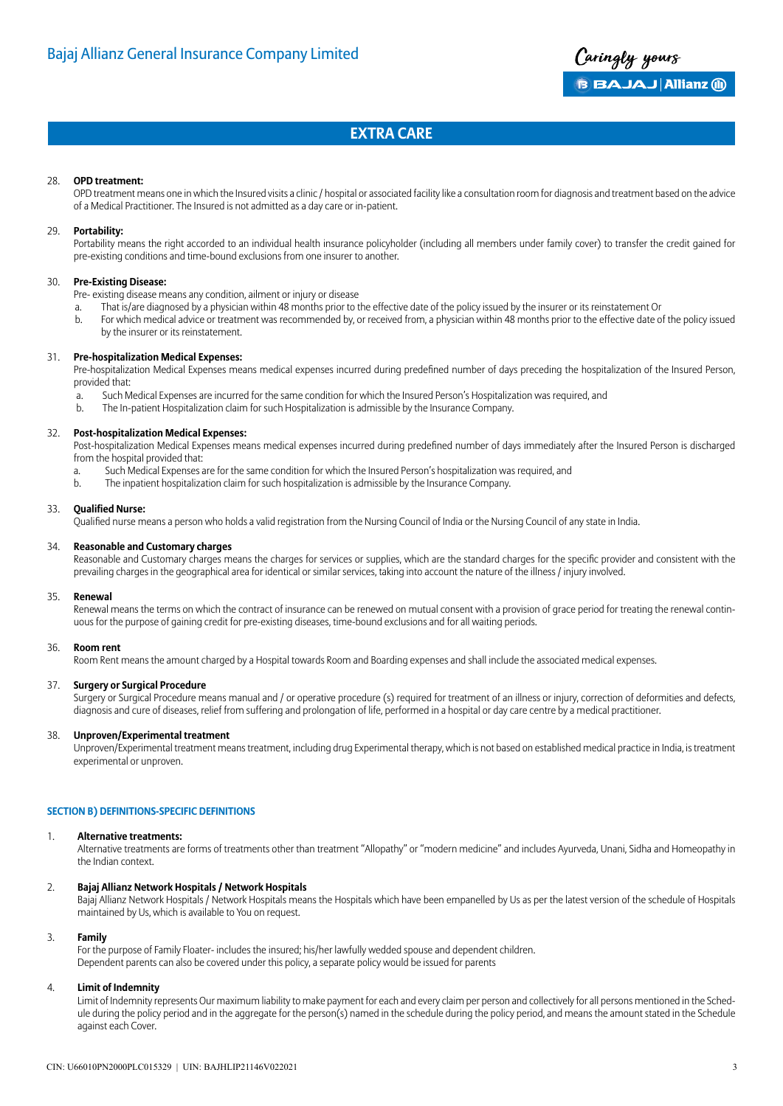

#### 28. **OPD treatment:**

OPD treatment means one in which the Insured visits a clinic / hospital or associated facility like a consultation room for diagnosis and treatment based on the advice of a Medical Practitioner. The Insured is not admitted as a day care or in-patient.

#### 29. **Portability:**

Portability means the right accorded to an individual health insurance policyholder (including all members under family cover) to transfer the credit gained for pre-existing conditions and time-bound exclusions from one insurer to another.

#### 30. **Pre-Existing Disease:**

- Pre- existing disease means any condition, ailment or injury or disease
- a. That is/are diagnosed by a physician within 48 months prior to the effective date of the policy issued by the insurer or its reinstatement Or
- b. For which medical advice or treatment was recommended by, or received from, a physician within 48 months prior to the effective date of the policy issued by the insurer or its reinstatement.

#### 31. **Pre-hospitalization Medical Expenses:**

Pre-hospitalization Medical Expenses means medical expenses incurred during predefined number of days preceding the hospitalization of the Insured Person, provided that:

- a. Such Medical Expenses are incurred for the same condition for which the Insured Person's Hospitalization was required, and
- b. The In-patient Hospitalization claim for such Hospitalization is admissible by the Insurance Company.

#### 32. **Post-hospitalization Medical Expenses:**

Post-hospitalization Medical Expenses means medical expenses incurred during predefined number of days immediately after the Insured Person is discharged from the hospital provided that:

- a. Such Medical Expenses are for the same condition for which the Insured Person's hospitalization was required, and
- b. The inpatient hospitalization claim for such hospitalization is admissible by the Insurance Company.

#### 33. **Qualified Nurse:**

Qualified nurse means a person who holds a valid registration from the Nursing Council of India or the Nursing Council of any state in India.

#### 34. **Reasonable and Customary charges**

Reasonable and Customary charges means the charges for services or supplies, which are the standard charges for the specific provider and consistent with the prevailing charges in the geographical area for identical or similar services, taking into account the nature of the illness / injury involved.

#### 35. **Renewal**

Renewal means the terms on which the contract of insurance can be renewed on mutual consent with a provision of grace period for treating the renewal continuous for the purpose of gaining credit for pre-existing diseases, time-bound exclusions and for all waiting periods.

#### 36. **Room rent**

Room Rent means the amount charged by a Hospital towards Room and Boarding expenses and shall include the associated medical expenses.

#### 37. **Surgery or Surgical Procedure**

Surgery or Surgical Procedure means manual and / or operative procedure (s) required for treatment of an illness or injury, correction of deformities and defects, diagnosis and cure of diseases, relief from suffering and prolongation of life, performed in a hospital or day care centre by a medical practitioner.

#### 38. **Unproven/Experimental treatment**

Unproven/Experimental treatment means treatment, including drug Experimental therapy, which is not based on established medical practice in India, is treatment experimental or unproven.

#### **SECTION B) DEFINITIONS-SPECIFIC DEFINITIONS**

#### 1. **Alternative treatments:**

Alternative treatments are forms of treatments other than treatment "Allopathy" or "modern medicine" and includes Ayurveda, Unani, Sidha and Homeopathy in the Indian context.

#### 2. **Bajaj Allianz Network Hospitals / Network Hospitals**

Bajaj Allianz Network Hospitals / Network Hospitals means the Hospitals which have been empanelled by Us as per the latest version of the schedule of Hospitals maintained by Us, which is available to You on request.

#### 3. **Family**

For the purpose of Family Floater- includes the insured; his/her lawfully wedded spouse and dependent children. Dependent parents can also be covered under this policy, a separate policy would be issued for parents

#### 4. **Limit of Indemnity**

Limit of Indemnity represents Our maximum liability to make payment for each and every claim per person and collectively for all persons mentioned in the Schedule during the policy period and in the aggregate for the person(s) named in the schedule during the policy period, and means the amount stated in the Schedule against each Cover.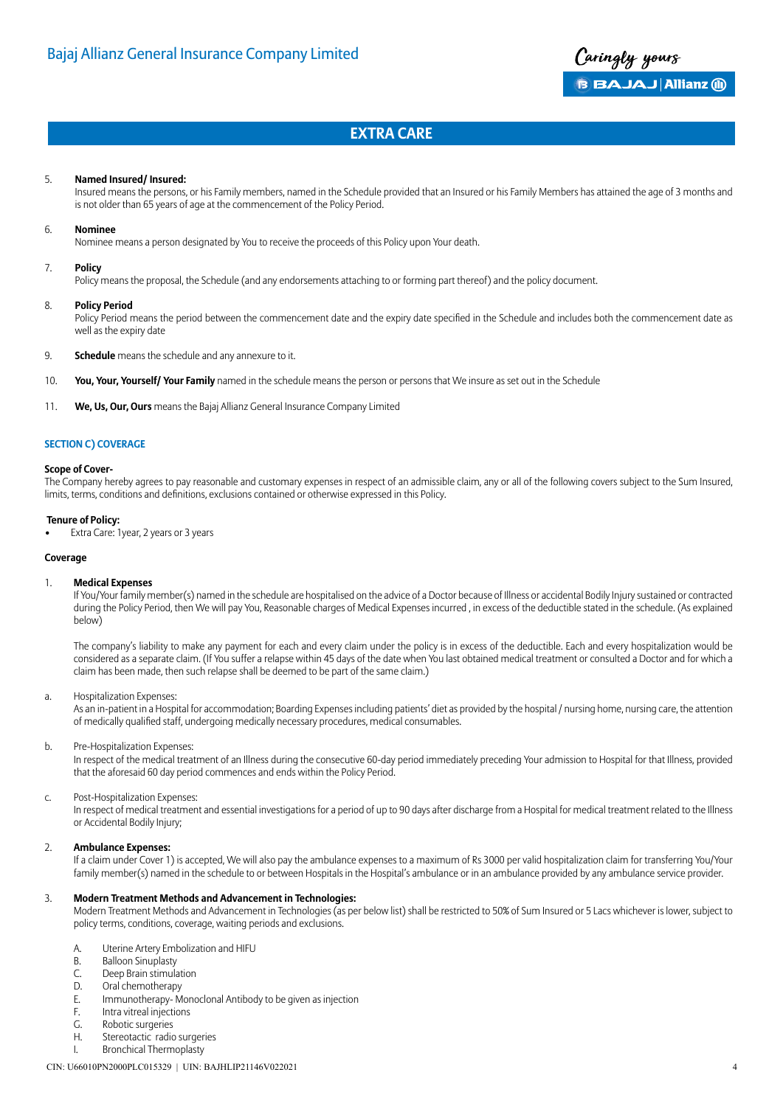

#### 5. **Named Insured/ Insured:**

Insured means the persons, or his Family members, named in the Schedule provided that an Insured or his Family Members has attained the age of 3 months and is not older than 65 years of age at the commencement of the Policy Period.

#### 6. **Nominee**

Nominee means a person designated by You to receive the proceeds of this Policy upon Your death.

#### 7. **Policy**

Policy means the proposal, the Schedule (and any endorsements attaching to or forming part thereof) and the policy document.

#### 8. **Policy Period**

Policy Period means the period between the commencement date and the expiry date specified in the Schedule and includes both the commencement date as well as the expiry date

- 9. **Schedule** means the schedule and any annexure to it.
- 10. **You, Your, Yourself/ Your Family** named in the schedule means the person or persons that We insure as set out in the Schedule
- 11. **We, Us, Our, Ours** means the Bajaj Allianz General Insurance Company Limited

#### **SECTION C) COVERAGE**

#### **Scope of Cover-**

The Company hereby agrees to pay reasonable and customary expenses in respect of an admissible claim, any or all of the following covers subject to the Sum Insured, limits, terms, conditions and definitions, exclusions contained or otherwise expressed in this Policy.

#### **Tenure of Policy:**

• Extra Care: 1year, 2 years or 3 years

#### **Coverage**

#### 1. **Medical Expenses**

If You/Your family member(s) named in the schedule are hospitalised on the advice of a Doctor because of Illness or accidental Bodily Injury sustained or contracted during the Policy Period, then We will pay You, Reasonable charges of Medical Expenses incurred , in excess of the deductible stated in the schedule. (As explained below)

The company's liability to make any payment for each and every claim under the policy is in excess of the deductible. Each and every hospitalization would be considered as a separate claim. (If You suffer a relapse within 45 days of the date when You last obtained medical treatment or consulted a Doctor and for which a claim has been made, then such relapse shall be deemed to be part of the same claim.)

#### a. Hospitalization Expenses:

As an in-patient in a Hospital for accommodation; Boarding Expenses including patients' diet as provided by the hospital / nursing home, nursing care, the attention of medically qualified staff, undergoing medically necessary procedures, medical consumables.

#### b. Pre-Hospitalization Expenses:

In respect of the medical treatment of an Illness during the consecutive 60-day period immediately preceding Your admission to Hospital for that Illness, provided that the aforesaid 60 day period commences and ends within the Policy Period.

#### c. Post-Hospitalization Expenses:

In respect of medical treatment and essential investigations for a period of up to 90 days after discharge from a Hospital for medical treatment related to the Illness or Accidental Bodily Injury;

#### 2. **Ambulance Expenses:**

If a claim under Cover 1) is accepted, We will also pay the ambulance expenses to a maximum of Rs 3000 per valid hospitalization claim for transferring You/Your family member(s) named in the schedule to or between Hospitals in the Hospital's ambulance or in an ambulance provided by any ambulance service provider.

#### 3. **Modern Treatment Methods and Advancement in Technologies:**

Modern Treatment Methods and Advancement in Technologies (as per below list) shall be restricted to 50% of Sum Insured or 5 Lacs whichever is lower, subject to policy terms, conditions, coverage, waiting periods and exclusions.

- A. Uterine Artery Embolization and HIFU
- B. Balloon Sinuplasty
- C. Deep Brain stimulation
- D. Oral chemotherapy
- E. Immunotherapy- Monoclonal Antibody to be given as injection
- F. Intra vitreal injections
- G. Robotic surgeries
- H. Stereotactic radio surgeries
- I. Bronchical Thermoplasty

#### CIN: U66010PN2000PLC015329 | UIN: BAJHLIP21146V022021 4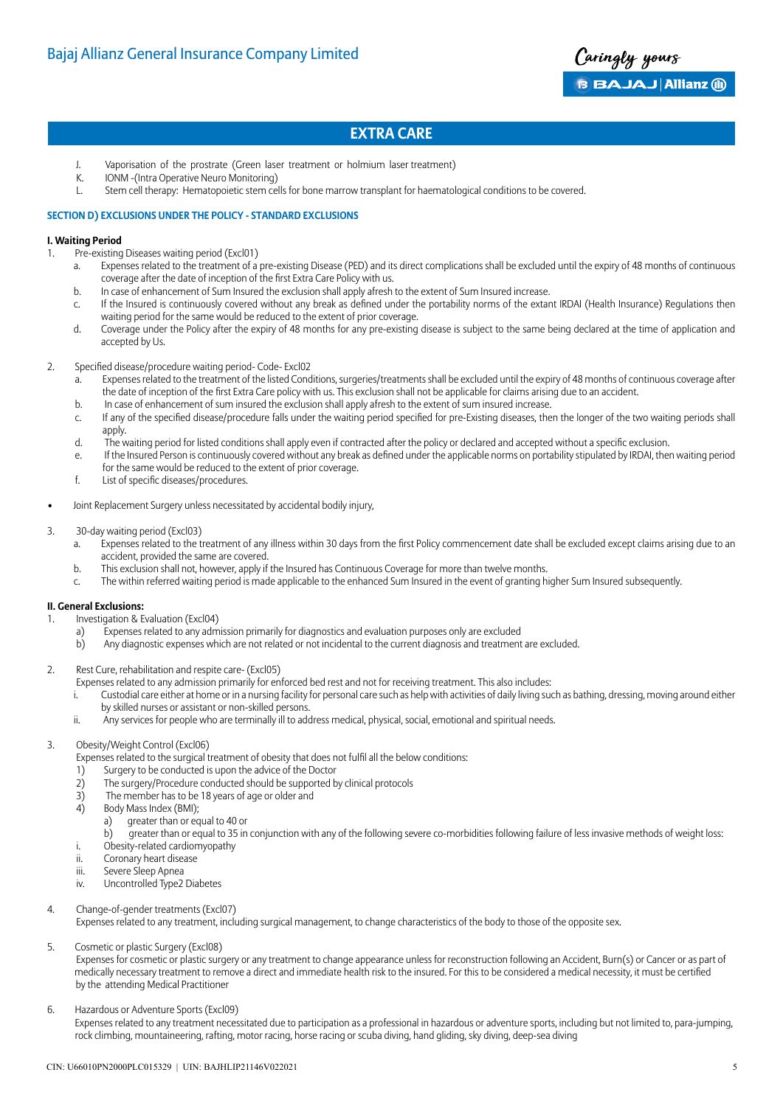

- J. Vaporisation of the prostrate (Green laser treatment or holmium laser treatment)
- K. IONM -(Intra Operative Neuro Monitoring)
- L. Stem cell therapy: Hematopoietic stem cells for bone marrow transplant for haematological conditions to be covered.

#### **SECTION D) EXCLUSIONS UNDER THE POLICY - STANDARD EXCLUSIONS**

#### **I. Waiting Period**

- 1. Pre-existing Diseases waiting period (Excl01)
	- a. Expenses related to the treatment of a pre-existing Disease (PED) and its direct complications shall be excluded until the expiry of 48 months of continuous coverage after the date of inception of the first Extra Care Policy with us.
	- b. In case of enhancement of Sum Insured the exclusion shall apply afresh to the extent of Sum Insured increase.
	- c. If the Insured is continuously covered without any break as defined under the portability norms of the extant IRDAI (Health Insurance) Regulations then waiting period for the same would be reduced to the extent of prior coverage.
	- d. Coverage under the Policy after the expiry of 48 months for any pre-existing disease is subject to the same being declared at the time of application and accepted by Us.
- 2. Specified disease/procedure waiting period- Code- Excl02
	- a. Expenses related to the treatment of the listed Conditions, surgeries/treatments shall be excluded until the expiry of 48 months of continuous coverage after the date of inception of the first Extra Care policy with us. This exclusion shall not be applicable for claims arising due to an accident.
	- b. In case of enhancement of sum insured the exclusion shall apply afresh to the extent of sum insured increase.
	- c. If any of the specified disease/procedure falls under the waiting period specified for pre-Existing diseases, then the longer of the two waiting periods shall apply.
	- d. The waiting period for listed conditions shall apply even if contracted after the policy or declared and accepted without a specific exclusion.
	- e. If the Insured Person is continuously covered without any break as defined under the applicable norms on portability stipulated by IRDAI, then waiting period for the same would be reduced to the extent of prior coverage.
	- f. List of specific diseases/procedures.
- Joint Replacement Surgery unless necessitated by accidental bodily injury,
- 3. 30-day waiting period (Excl03)
	- a. Expenses related to the treatment of any illness within 30 days from the first Policy commencement date shall be excluded except claims arising due to an accident, provided the same are covered.
	- b. This exclusion shall not, however, apply if the Insured has Continuous Coverage for more than twelve months.
	- c. The within referred waiting period is made applicable to the enhanced Sum Insured in the event of granting higher Sum Insured subsequently.

#### **II. General Exclusions:**

- 1. Investigation & Evaluation (Excl04)
	- a) Expenses related to any admission primarily for diagnostics and evaluation purposes only are excluded
	- b) Any diagnostic expenses which are not related or not incidental to the current diagnosis and treatment are excluded.
- 2. Rest Cure, rehabilitation and respite care- (Excl05)
	- Expenses related to any admission primarily for enforced bed rest and not for receiving treatment. This also includes:
	- i. Custodial care either at home or in a nursing facility for personal care such as help with activities of daily living such as bathing, dressing, moving around either by skilled nurses or assistant or non-skilled persons.
	- ii. Any services for people who are terminally ill to address medical, physical, social, emotional and spiritual needs.

#### 3. Obesity/Weight Control (Excl06)

- Expenses related to the surgical treatment of obesity that does not fulfil all the below conditions:
- 1) Surgery to be conducted is upon the advice of the Doctor
- 2) The surgery/Procedure conducted should be supported by clinical protocols<br>3) The member has to be 18 years of age or older and
- The member has to be 18 years of age or older and
- 4) Body Mass Index (BMI);
- a) greater than or equal to 40 or
	- b) greater than or equal to 35 in conjunction with any of the following severe co-morbidities following failure of less invasive methods of weight loss:
- i. Obesity-related cardiomyopathy
- ii. Coronary heart disease
- iii. Severe Sleep Apnea
- iv. Uncontrolled Type2 Diabetes
- 4. Change-of-gender treatments (Excl07)

Expenses related to any treatment, including surgical management, to change characteristics of the body to those of the opposite sex.

#### 5. Cosmetic or plastic Surgery (Excl08)

Expenses for cosmetic or plastic surgery or any treatment to change appearance unless for reconstruction following an Accident, Burn(s) or Cancer or as part of medically necessary treatment to remove a direct and immediate health risk to the insured. For this to be considered a medical necessity, it must be certified by the attending Medical Practitioner

6. Hazardous or Adventure Sports (Excl09)

Expenses related to any treatment necessitated due to participation as a professional in hazardous or adventure sports, including but not limited to, para-jumping, rock climbing, mountaineering, rafting, motor racing, horse racing or scuba diving, hand gliding, sky diving, deep-sea diving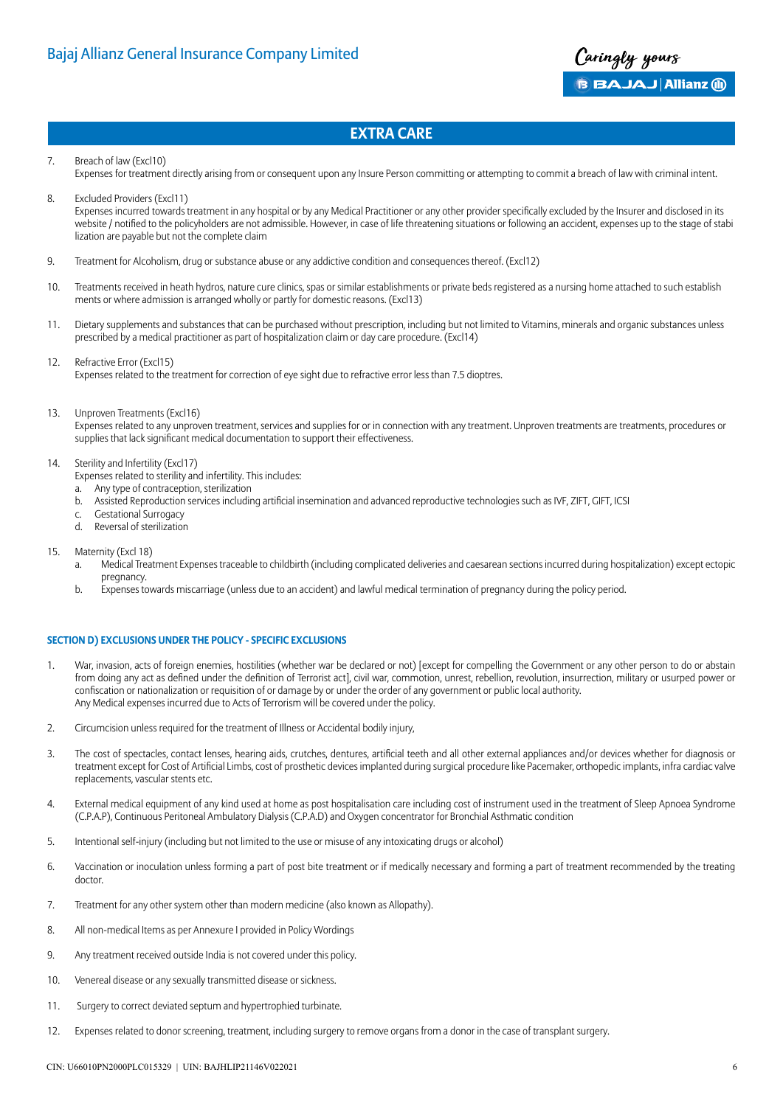

- 7. Breach of law (Excl10)
- Expenses for treatment directly arising from or consequent upon any Insure Person committing or attempting to commit a breach of law with criminal intent.
- 8. Excluded Providers (Excl11) Expenses incurred towards treatment in any hospital or by any Medical Practitioner or any other provider specifically excluded by the Insurer and disclosed in its website / notified to the policyholders are not admissible. However, in case of life threatening situations or following an accident, expenses up to the stage of stabi lization are payable but not the complete claim
- 9. Treatment for Alcoholism, drug or substance abuse or any addictive condition and consequences thereof. (Excl12)
- 10. Treatments received in heath hydros, nature cure clinics, spas or similar establishments or private beds registered as a nursing home attached to such establish ments or where admission is arranged wholly or partly for domestic reasons. (Excl13)
- 11. Dietary supplements and substances that can be purchased without prescription, including but not limited to Vitamins, minerals and organic substances unless prescribed by a medical practitioner as part of hospitalization claim or day care procedure. (Excl14)
- 12. Refractive Error (Excl15) Expenses related to the treatment for correction of eye sight due to refractive error less than 7.5 dioptres.
- 13. Unproven Treatments (Excl16)

Expenses related to any unproven treatment, services and supplies for or in connection with any treatment. Unproven treatments are treatments, procedures or supplies that lack significant medical documentation to support their effectiveness.

- 14. Sterility and Infertility (Excl17)
	- Expenses related to sterility and infertility. This includes:
	- a. Any type of contraception, sterilization
	- b. Assisted Reproduction services including artificial insemination and advanced reproductive technologies such as IVF, ZIFT, GIFT, ICSI
	- **Gestational Surrogacy** d. Reversal of sterilization
- 15. Maternity (Excl 18)
	- a. Medical Treatment Expenses traceable to childbirth (including complicated deliveries and caesarean sections incurred during hospitalization) except ectopic pregnancy.
	- b. Expenses towards miscarriage (unless due to an accident) and lawful medical termination of pregnancy during the policy period.

#### **SECTION D) EXCLUSIONS UNDER THE POLICY - SPECIFIC EXCLUSIONS**

- 1. War, invasion, acts of foreign enemies, hostilities (whether war be declared or not) [except for compelling the Government or any other person to do or abstain from doing any act as defined under the definition of Terrorist act], civil war, commotion, unrest, rebellion, revolution, insurrection, military or usurped power or confiscation or nationalization or requisition of or damage by or under the order of any government or public local authority. Any Medical expenses incurred due to Acts of Terrorism will be covered under the policy.
- 2. Circumcision unless required for the treatment of Illness or Accidental bodily injury,
- 3. The cost of spectacles, contact lenses, hearing aids, crutches, dentures, artificial teeth and all other external appliances and/or devices whether for diagnosis or treatment except for Cost of Artificial Limbs, cost of prosthetic devices implanted during surgical procedure like Pacemaker, orthopedic implants, infra cardiac valve replacements, vascular stents etc.
- 4. External medical equipment of any kind used at home as post hospitalisation care including cost of instrument used in the treatment of Sleep Apnoea Syndrome (C.P.A.P), Continuous Peritoneal Ambulatory Dialysis (C.P.A.D) and Oxygen concentrator for Bronchial Asthmatic condition
- 5. Intentional self-injury (including but not limited to the use or misuse of any intoxicating drugs or alcohol)
- 6. Vaccination or inoculation unless forming a part of post bite treatment or if medically necessary and forming a part of treatment recommended by the treating doctor.
- 7. Treatment for any other system other than modern medicine (also known as Allopathy).
- 8. All non-medical Items as per Annexure I provided in Policy Wordings
- 9. Any treatment received outside India is not covered under this policy.
- 10. Venereal disease or any sexually transmitted disease or sickness.
- 11. Surgery to correct deviated septum and hypertrophied turbinate.
- 12. Expenses related to donor screening, treatment, including surgery to remove organs from a donor in the case of transplant surgery.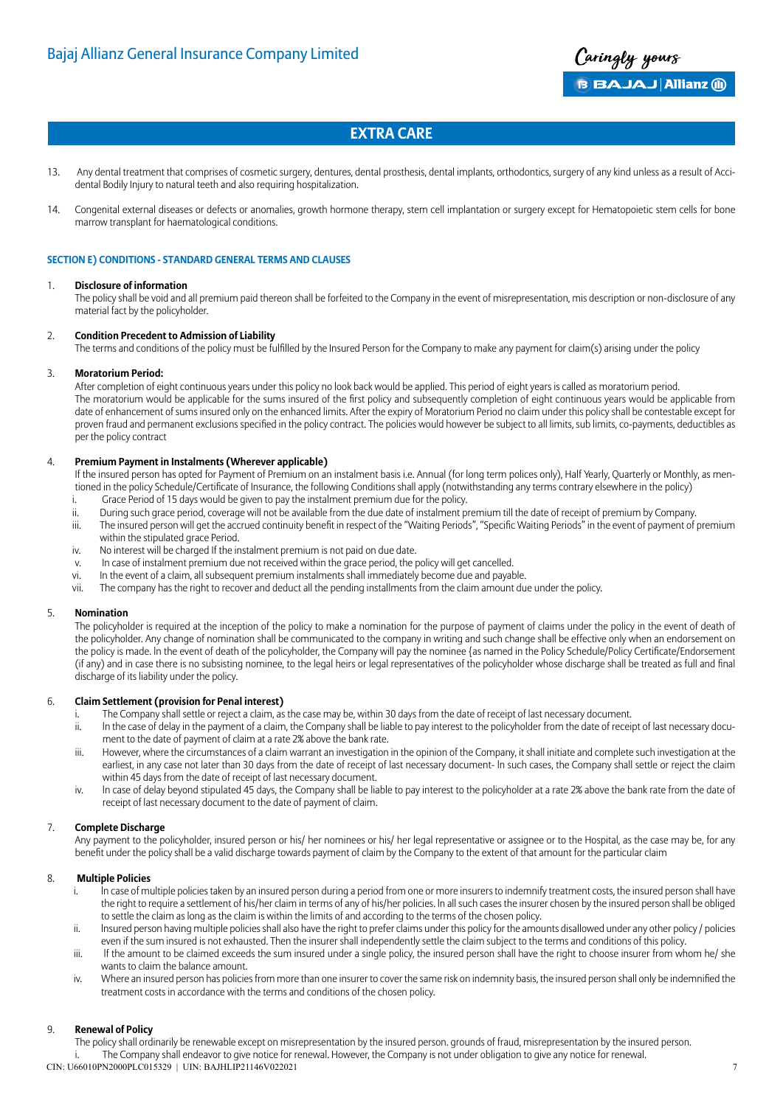

- 13. Any dental treatment that comprises of cosmetic surgery, dentures, dental prosthesis, dental implants, orthodontics, surgery of any kind unless as a result of Accidental Bodily Injury to natural teeth and also requiring hospitalization.
- 14. Congenital external diseases or defects or anomalies, growth hormone therapy, stem cell implantation or surgery except for Hematopoietic stem cells for bone marrow transplant for haematological conditions.

#### **SECTION E) CONDITIONS - STANDARD GENERAL TERMS AND CLAUSES**

#### 1. **Disclosure of information**

The policy shall be void and all premium paid thereon shall be forfeited to the Company in the event of misrepresentation, mis description or non-disclosure of any material fact by the policyholder.

#### 2. **Condition Precedent to Admission of Liability**

The terms and conditions of the policy must be fulfilled by the Insured Person for the Company to make any payment for claim(s) arising under the policy

#### 3. **Moratorium Period:**

After completion of eight continuous years under this policy no look back would be applied. This period of eight years is called as moratorium period. The moratorium would be applicable for the sums insured of the first policy and subsequently completion of eight continuous years would be applicable from date of enhancement of sums insured only on the enhanced limits. After the expiry of Moratorium Period no claim under this policy shall be contestable except for proven fraud and permanent exclusions specified in the policy contract. The policies would however be subject to all limits, sub limits, co-payments, deductibles as per the policy contract

#### 4. **Premium Payment in Instalments (Wherever applicable)**

If the insured person has opted for Payment of Premium on an instalment basis i.e. Annual (for long term polices only), Half Yearly, Quarterly or Monthly, as mentioned in the policy Schedule/Certificate of Insurance, the following Conditions shall apply (notwithstanding any terms contrary elsewhere in the policy)

- i. Grace Period of 15 days would be given to pay the instalment premium due for the policy. ii. During such grace period, coverage will not be available from the due date of instalment premium till the date of receipt of premium by Company.
- iii. The insured person will get the accrued continuity benefit in respect of the "Waiting Periods", "Specific Waiting Periods" in the event of payment of premium
- within the stipulated grace Period.
- iv. No interest will be charged If the instalment premium is not paid on due date.
- v. In case of instalment premium due not received within the grace period, the policy will get cancelled. vi. In the event of a claim, all subsequent premium instalments shall immediately become due and payable.
- vii. The company has the right to recover and deduct all the pending installments from the claim amount due under the policy.

#### 5. **Nomination**

The policyholder is required at the inception of the policy to make a nomination for the purpose of payment of claims under the policy in the event of death of the policyholder. Any change of nomination shall be communicated to the company in writing and such change shall be effective only when an endorsement on the policy is made. ln the event of death of the policyholder, the Company will pay the nominee {as named in the Policy Schedule/Policy Certificate/Endorsement (if any) and in case there is no subsisting nominee, to the legal heirs or legal representatives of the policyholder whose discharge shall be treated as full and final discharge of its liability under the policy.

#### 6. **Claim Settlement (provision for Penal interest)**

- The Company shall settle or reject a claim, as the case may be, within 30 days from the date of receipt of last necessary document.
- ii. ln the case of delay in the payment of a claim, the Company shall be liable to pay interest to the policyholder from the date of receipt of last necessary document to the date of payment of claim at a rate 2% above the bank rate.
- iii. However, where the circumstances of a claim warrant an investigation in the opinion of the Company, it shall initiate and complete such investigation at the earliest, in any case not later than 30 days from the date of receipt of last necessary document- ln such cases, the Company shall settle or reject the claim within 45 days from the date of receipt of last necessary document.
- iv. ln case of delay beyond stipulated 45 days, the Company shall be liable to pay interest to the policyholder at a rate 2% above the bank rate from the date of receipt of last necessary document to the date of payment of claim.

#### 7. **Complete Discharge**

Any payment to the policyholder, insured person or his/ her nominees or his/ her legal representative or assignee or to the Hospital, as the case may be, for any benefit under the policy shall be a valid discharge towards payment of claim by the Company to the extent of that amount for the particular claim

#### 8. **Multiple Policies**

- i. ln case of multiple policies taken by an insured person during a period from one or more insurers to indemnify treatment costs, the insured person shall have the right to require a settlement of his/her claim in terms of any of his/her policies. ln all such cases the insurer chosen by the insured person shall be obliged to settle the claim as long as the claim is within the limits of and according to the terms of the chosen policy.
- ii. lnsured person having multiple policies shall also have the right to prefer claims under this policy for the amounts disallowed under any other policy / policies even if the sum insured is not exhausted. Then the insurer shall independently settle the claim subject to the terms and conditions of this policy.
- iii. If the amount to be claimed exceeds the sum insured under a single policy, the insured person shall have the right to choose insurer from whom he/ she wants to claim the balance amount.
- iv. Where an insured person has policies from more than one insurer to cover the same risk on indemnity basis, the insured person shall only be indemnified the treatment costs in accordance with the terms and conditions of the chosen policy.

#### 9. **Renewal of Policy**

CIN: U66010PN2000PLC015329 | UIN: BAJHLIP21146V022021 The policy shall ordinarily be renewable except on misrepresentation by the insured person. grounds of fraud, misrepresentation by the insured person. The Company shall endeavor to give notice for renewal. However, the Company is not under obligation to give any notice for renewal.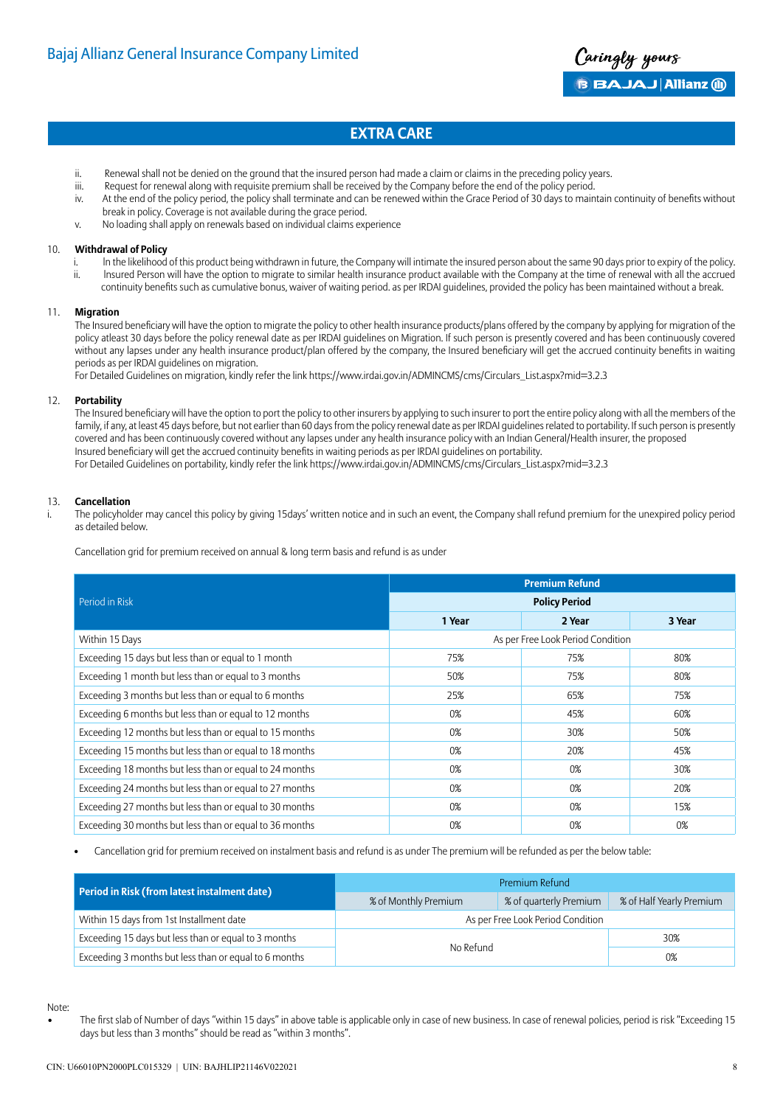

- ii. Renewal shall not be denied on the ground that the insured person had made a claim or claims in the preceding policy years.
- iii. Request for renewal along with requisite premium shall be received by the Company before the end of the policy period.
- iv. At the end of the policy period, the policy shall terminate and can be renewed within the Grace Period of 30 days to maintain continuity of benefits without break in policy. Coverage is not available during the grace period.
- v. No loading shall apply on renewals based on individual claims experience

#### 10. **Withdrawal of Policy**

- i. ln the likelihood of this product being withdrawn in future, the Company will intimate the insured person about the same 90 days prior to expiry of the policy.
- ii. lnsured Person will have the option to migrate to similar health insurance product available with the Company at the time of renewal with all the accrued continuity benefits such as cumulative bonus, waiver of waiting period. as per IRDAI guidelines, provided the policy has been maintained without a break.

#### 11. **Migration**

The Insured beneficiary will have the option to migrate the policy to other health insurance products/plans offered by the company by applying for migration of the policy atleast 30 days before the policy renewal date as per IRDAI guidelines on Migration. If such person is presently covered and has been continuously covered without any lapses under any health insurance product/plan offered by the company, the Insured beneficiary will get the accrued continuity benefits in waiting periods as per IRDAI guidelines on migration.

For Detailed Guidelines on migration, kindly refer the link https://www.irdai.gov.in/ADMINCMS/cms/Circulars\_List.aspx?mid=3.2.3

#### 12. **Portability**

The Insured beneficiary will have the option to port the policy to other insurers by applying to such insurer to port the entire policy along with all the members of the family, if any, at least 45 days before, but not earlier than 60 days from the policy renewal date as per IRDAI guidelines related to portability. If such person is presently covered and has been continuously covered without any lapses under any health insurance policy with an Indian General/Health insurer, the proposed Insured beneficiary will get the accrued continuity benefits in waiting periods as per IRDAI guidelines on portability. For Detailed Guidelines on portability, kindly refer the link https://www.irdai.gov.in/ADMINCMS/cms/Circulars\_List.aspx?mid=3.2.3

#### 13. **Cancellation**

i. The policyholder may cancel this policy by giving 15days' written notice and in such an event, the Company shall refund premium for the unexpired policy period as detailed below.

Cancellation grid for premium received on annual & long term basis and refund is as under

|                                                         | <b>Premium Refund</b> |                                   |        |
|---------------------------------------------------------|-----------------------|-----------------------------------|--------|
| Period in Risk                                          | <b>Policy Period</b>  |                                   |        |
|                                                         | 1 Year                | 2 Year                            | 3 Year |
| Within 15 Days                                          |                       | As per Free Look Period Condition |        |
| Exceeding 15 days but less than or equal to 1 month     | 75%                   | 75%                               | 80%    |
| Exceeding 1 month but less than or equal to 3 months    | 50%                   | 75%                               | 80%    |
| Exceeding 3 months but less than or equal to 6 months   | 25%                   | 65%                               | 75%    |
| Exceeding 6 months but less than or equal to 12 months  | 0%                    | 45%                               | 60%    |
| Exceeding 12 months but less than or equal to 15 months | 0%                    | 30%                               | 50%    |
| Exceeding 15 months but less than or equal to 18 months | 0%                    | 20%                               | 45%    |
| Exceeding 18 months but less than or equal to 24 months | 0%                    | 0%                                | 30%    |
| Exceeding 24 months but less than or equal to 27 months | 0%                    | 0%                                | 20%    |
| Exceeding 27 months but less than or equal to 30 months | 0%                    | 0%                                | 15%    |
| Exceeding 30 months but less than or equal to 36 months | 0%                    | 0%                                | 0%     |

• Cancellation grid for premium received on instalment basis and refund is as under The premium will be refunded as per the below table:

|                                                       | Premium Refund         |                                   |                          |
|-------------------------------------------------------|------------------------|-----------------------------------|--------------------------|
| Period in Risk (from latest instalment date)          | % of Monthly Premium   | % of quarterly Premium            | % of Half Yearly Premium |
| Within 15 days from 1st Installment date              |                        | As per Free Look Period Condition |                          |
| Exceeding 15 days but less than or equal to 3 months  | 30%<br>No Refund<br>0% |                                   |                          |
| Exceeding 3 months but less than or equal to 6 months |                        |                                   |                          |

Note:

• The first slab of Number of days "within 15 days" in above table is applicable only in case of new business. In case of renewal policies, period is risk "Exceeding 15 days but less than 3 months" should be read as "within 3 months".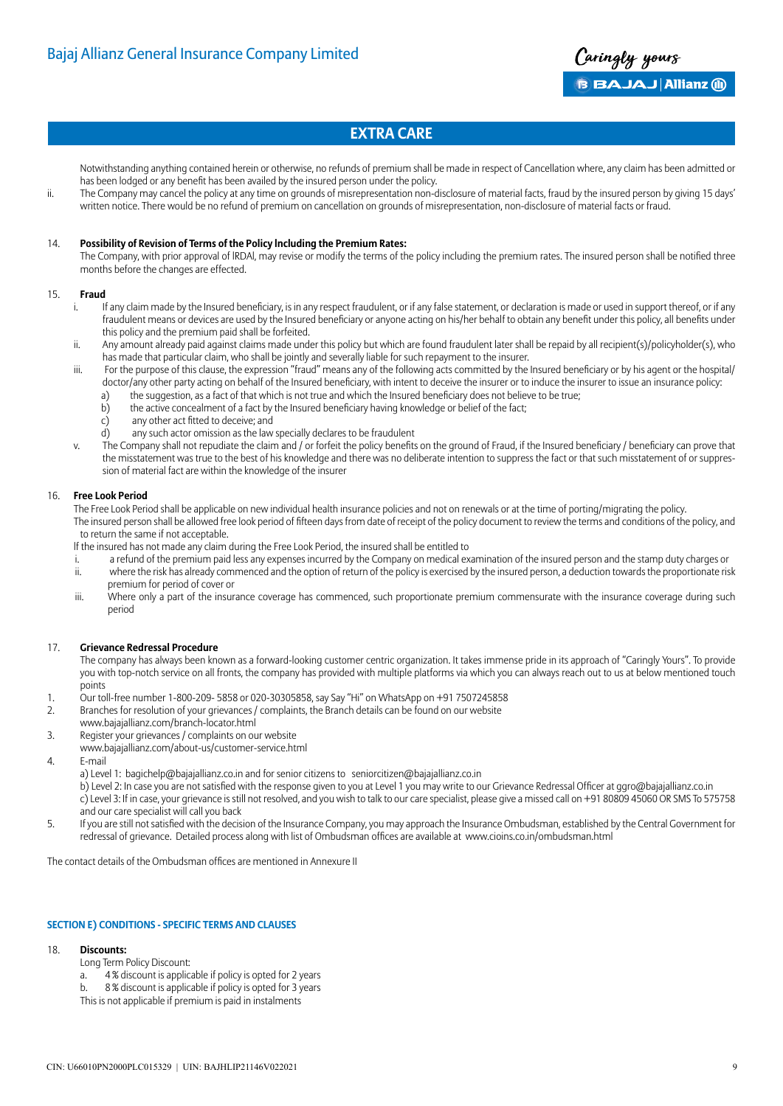

Notwithstanding anything contained herein or otherwise, no refunds of premium shall be made in respect of Cancellation where, any claim has been admitted or has been lodged or any benefit has been availed by the insured person under the policy.

ii. The Company may cancel the policy at any time on grounds of misrepresentation non-disclosure of material facts, fraud by the insured person by giving 15 days' written notice. There would be no refund of premium on cancellation on grounds of misrepresentation, non-disclosure of material facts or fraud.

#### 14. **Possibility of Revision of Terms of the Policy lncluding the Premium Rates:**

The Company, with prior approval of lRDAl, may revise or modify the terms of the policy including the premium rates. The insured person shall be notified three months before the changes are effected.

#### 15. **Fraud**

- i. If any claim made by the Insured beneficiary, is in any respect fraudulent, or if any false statement, or declaration is made or used in support thereof, or if any fraudulent means or devices are used by the Insured beneficiary or anyone acting on his/her behalf to obtain any benefit under this policy, all benefits under this policy and the premium paid shall be forfeited.
- ii. Any amount already paid against claims made under this policy but which are found fraudulent later shall be repaid by all recipient(s)/policyholder(s), who has made that particular claim, who shall be jointly and severally liable for such repayment to the insurer.
- iii. For the purpose of this clause, the expression "fraud" means any of the following acts committed by the Insured beneficiary or by his agent or the hospital/ doctor/any other party acting on behalf of the Insured beneficiary, with intent to deceive the insurer or to induce the insurer to issue an insurance policy:
	- a) the suggestion, as a fact of that which is not true and which the Insured beneficiary does not believe to be true;
	- b) the active concealment of a fact by the Insured beneficiary having knowledge or belief of the fact;
	- c) any other act fitted to deceive; and
	- d) any such actor omission as the law specially declares to be fraudulent
- v. The Company shall not repudiate the claim and / or forfeit the policy benefits on the ground of Fraud, if the Insured beneficiary / beneficiary can prove that the misstatement was true to the best of his knowledge and there was no deliberate intention to suppress the fact or that such misstatement of or suppression of material fact are within the knowledge of the insurer

#### 16. **Free Look Period**

The Free Look Period shall be applicable on new individual health insurance policies and not on renewals or at the time of porting/migrating the policy. The insured person shall be allowed free look period of fifteen days from date of receipt of the policy document to review the terms and conditions of the policy, and to return the same if not acceptable.

- lf the insured has not made any claim during the Free Look Period, the insured shall be entitled to
- a refund of the premium paid less any expenses incurred by the Company on medical examination of the insured person and the stamp duty charges or ii. where the risk has already commenced and the option of return of the policy is exercised by the insured person, a deduction towards the proportionate risk premium for period of cover or
- iii. Where only a part of the insurance coverage has commenced, such proportionate premium commensurate with the insurance coverage during such period

#### 17. **Grievance Redressal Procedure**

The company has always been known as a forward-looking customer centric organization. It takes immense pride in its approach of "Caringly Yours". To provide you with top-notch service on all fronts, the company has provided with multiple platforms via which you can always reach out to us at below mentioned touch points

- 1. Our toll-free number 1-800-209- 5858 or 020-30305858, say Say "Hi" on WhatsApp on +91 7507245858
- 2. Branches for resolution of your grievances / complaints, the Branch details can be found on our website
- www.bajajallianz.com/branch-locator.html
- 3. Register your grievances / complaints on our website
- www.bajajallianz.com/about-us/customer-service.html
- 4. E-mail
	- a) Level 1: bagichelp@bajajallianz.co.in and for senior citizens to seniorcitizen@bajajallianz.co.in

b) Level 2: In case you are not satisfied with the response given to you at Level 1 you may write to our Grievance Redressal Officer at ggro@bajajallianz.co.in c) Level 3: If in case, your grievance is still not resolved, and you wish to talk to our care specialist, please give a missed call on +91 80809 45060 OR SMS To 575758 and our care specialist will call you back

5. If you are still not satisfied with the decision of the Insurance Company, you may approach the Insurance Ombudsman, established by the Central Government for redressal of grievance. Detailed process along with list of Ombudsman offices are available at www.cioins.co.in/ombudsman.html

The contact details of the Ombudsman offices are mentioned in Annexure II

#### **SECTION E) CONDITIONS - SPECIFIC TERMS AND CLAUSES**

#### 18. **Discounts:**

- Long Term Policy Discount:
- a. 4 % discount is applicable if policy is opted for 2 years
- b. 8 % discount is applicable if policy is opted for 3 years
- This is not applicable if premium is paid in instalments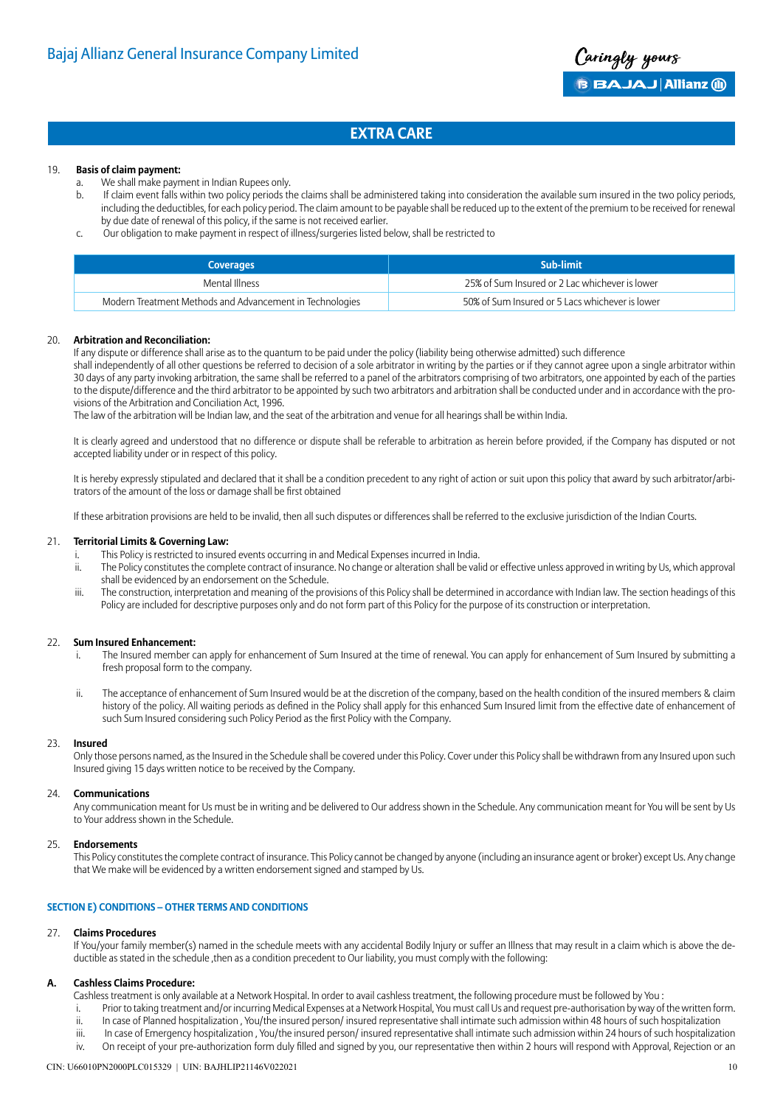#### 19. **Basis of claim payment:**

- a. We shall make payment in Indian Rupees only.
- b. If claim event falls within two policy periods the claims shall be administered taking into consideration the available sum insured in the two policy periods, including the deductibles, for each policy period. The claim amount to be payable shall be reduced up to the extent of the premium to be received for renewal by due date of renewal of this policy, if the same is not received earlier.
- c. Our obligation to make payment in respect of illness/surgeries listed below, shall be restricted to

| <b>Coverages</b>                                         | Sub-limit                                       |
|----------------------------------------------------------|-------------------------------------------------|
| Mental Illness                                           | 25% of Sum Insured or 2 Lac whichever is lower  |
| Modern Treatment Methods and Advancement in Technologies | 50% of Sum Insured or 5 Lacs whichever is lower |

#### 20. **Arbitration and Reconciliation:**

If any dispute or difference shall arise as to the quantum to be paid under the policy (liability being otherwise admitted) such difference

shall independently of all other questions be referred to decision of a sole arbitrator in writing by the parties or if they cannot agree upon a single arbitrator within 30 days of any party invoking arbitration, the same shall be referred to a panel of the arbitrators comprising of two arbitrators, one appointed by each of the parties to the dispute/difference and the third arbitrator to be appointed by such two arbitrators and arbitration shall be conducted under and in accordance with the provisions of the Arbitration and Conciliation Act, 1996.

The law of the arbitration will be Indian law, and the seat of the arbitration and venue for all hearings shall be within India.

It is clearly agreed and understood that no difference or dispute shall be referable to arbitration as herein before provided, if the Company has disputed or not accepted liability under or in respect of this policy.

It is hereby expressly stipulated and declared that it shall be a condition precedent to any right of action or suit upon this policy that award by such arbitrator/arbitrators of the amount of the loss or damage shall be first obtained

If these arbitration provisions are held to be invalid, then all such disputes or differences shall be referred to the exclusive jurisdiction of the Indian Courts.

#### 21. **Territorial Limits & Governing Law:**

- i. This Policy is restricted to insured events occurring in and Medical Expenses incurred in India.
- ii. The Policy constitutes the complete contract of insurance. No change or alteration shall be valid or effective unless approved in writing by Us, which approval shall be evidenced by an endorsement on the Schedule.
- iii. The construction, interpretation and meaning of the provisions of this Policy shall be determined in accordance with Indian law. The section headings of this Policy are included for descriptive purposes only and do not form part of this Policy for the purpose of its construction or interpretation.

#### 22. **Sum Insured Enhancement:**

- The Insured member can apply for enhancement of Sum Insured at the time of renewal. You can apply for enhancement of Sum Insured by submitting a fresh proposal form to the company.
- ii. The acceptance of enhancement of Sum Insured would be at the discretion of the company, based on the health condition of the insured members & claim history of the policy. All waiting periods as defined in the Policy shall apply for this enhanced Sum Insured limit from the effective date of enhancement of such Sum Insured considering such Policy Period as the first Policy with the Company.

#### 23. **Insured**

Only those persons named, as the Insured in the Schedule shall be covered under this Policy. Cover under this Policy shall be withdrawn from any Insured upon such Insured giving 15 days written notice to be received by the Company.

#### 24. **Communications**

Any communication meant for Us must be in writing and be delivered to Our address shown in the Schedule. Any communication meant for You will be sent by Us to Your address shown in the Schedule.

#### 25. **Endorsements**

This Policy constitutes the complete contract of insurance. This Policy cannot be changed by anyone (including an insurance agent or broker) except Us. Any change that We make will be evidenced by a written endorsement signed and stamped by Us.

#### **SECTION E) CONDITIONS – OTHER TERMS AND CONDITIONS**

#### 27. **Claims Procedures**

If You/your family member(s) named in the schedule meets with any accidental Bodily Injury or suffer an Illness that may result in a claim which is above the deductible as stated in the schedule ,then as a condition precedent to Our liability, you must comply with the following:

#### **A. Cashless Claims Procedure:**

Cashless treatment is only available at a Network Hospital. In order to avail cashless treatment, the following procedure must be followed by You :

- i. Prior to taking treatment and/or incurring Medical Expenses at a Network Hospital, You must call Us and request pre-authorisation by way of the written form.
- ii. In case of Planned hospitalization , You/the insured person/ insured representative shall intimate such admission within 48 hours of such hospitalization
- iii. In case of Emergency hospitalization, You/the insured person/ insured representative shall intimate such admission within 24 hours of such hospitalization

#### iv. On receipt of your pre-authorization form duly filled and signed by you, our representative then within 2 hours will respond with Approval, Rejection or an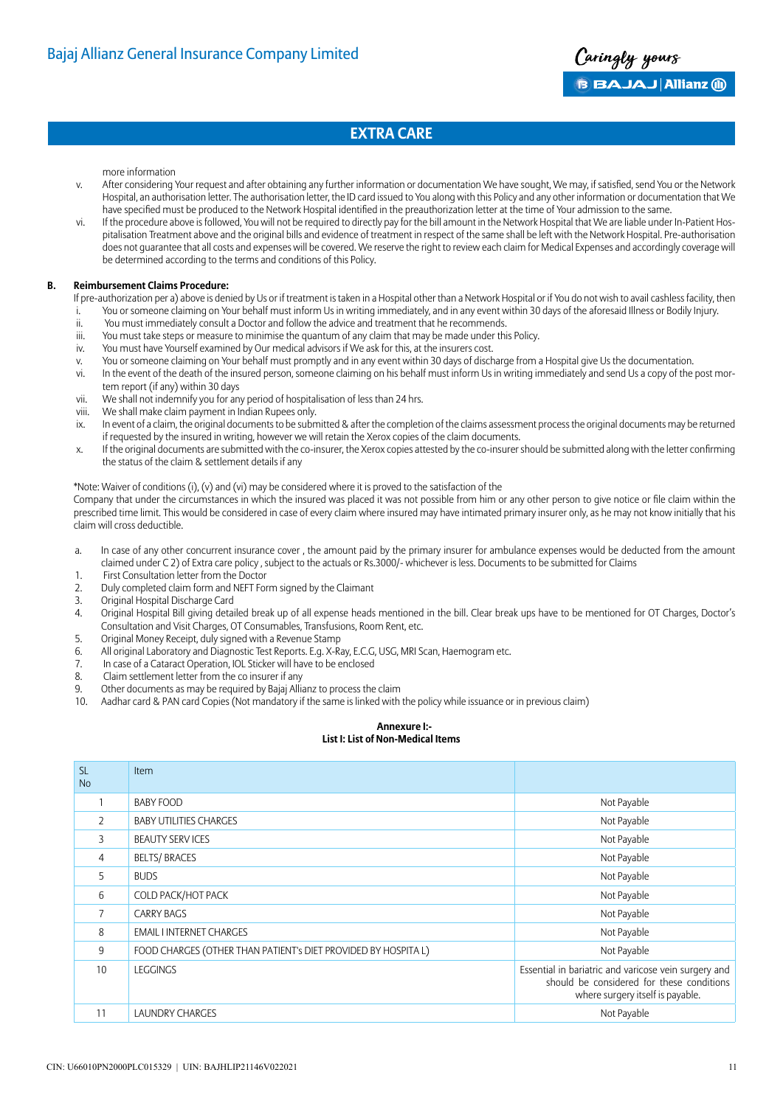

more information

- v. After considering Your request and after obtaining any further information or documentation We have sought, We may, if satisfied, send You or the Network Hospital, an authorisation letter. The authorisation letter, the ID card issued to You along with this Policy and any other information or documentation that We have specified must be produced to the Network Hospital identified in the preauthorization letter at the time of Your admission to the same.
- vi. If the procedure above is followed, You will not be required to directly pay for the bill amount in the Network Hospital that We are liable under In-Patient Hospitalisation Treatment above and the original bills and evidence of treatment in respect of the same shall be left with the Network Hospital. Pre-authorisation does not guarantee that all costs and expenses will be covered. We reserve the right to review each claim for Medical Expenses and accordingly coverage will be determined according to the terms and conditions of this Policy.

#### **B. Reimbursement Claims Procedure:**

If pre-authorization per a) above is denied by Us or if treatment is taken in a Hospital other than a Network Hospital or if You do not wish to avail cashless facility, then

- i. You or someone claiming on Your behalf must inform Us in writing immediately, and in any event within 30 days of the aforesaid Illness or Bodily Injury.
- ii. You must immediately consult a Doctor and follow the advice and treatment that he recommends.
- iii. You must take steps or measure to minimise the quantum of any claim that may be made under this Policy.
- iv. You must have Yourself examined by Our medical advisors if We ask for this, at the insurers cost.
- v. You or someone claiming on Your behalf must promptly and in any event within 30 days of discharge from a Hospital give Us the documentation.
- vi. In the event of the death of the insured person, someone claiming on his behalf must inform Us in writing immediately and send Us a copy of the post mortem report (if any) within 30 days
- vii. We shall not indemnify you for any period of hospitalisation of less than 24 hrs.
- viii. We shall make claim payment in Indian Rupees only.
- ix. In event of a claim, the original documents to be submitted & after the completion of the claims assessment process the original documents may be returned if requested by the insured in writing, however we will retain the Xerox copies of the claim documents.
- x. If the original documents are submitted with the co-insurer, the Xerox copies attested by the co-insurer should be submitted along with the letter confirming the status of the claim & settlement details if any

\*Note: Waiver of conditions (i), (v) and (vi) may be considered where it is proved to the satisfaction of the

Company that under the circumstances in which the insured was placed it was not possible from him or any other person to give notice or file claim within the prescribed time limit. This would be considered in case of every claim where insured may have intimated primary insurer only, as he may not know initially that his claim will cross deductible.

- a. In case of any other concurrent insurance cover , the amount paid by the primary insurer for ambulance expenses would be deducted from the amount claimed under C 2) of Extra care policy , subject to the actuals or Rs.3000/- whichever is less. Documents to be submitted for Claims
- 1. First Consultation letter from the Doctor
- 2. Duly completed claim form and NEFT Form signed by the Claimant
- 3. Original Hospital Discharge Card
- 4. Original Hospital Bill giving detailed break up of all expense heads mentioned in the bill. Clear break ups have to be mentioned for OT Charges, Doctor's Consultation and Visit Charges, OT Consumables, Transfusions, Room Rent, etc.
- 5. Original Money Receipt, duly signed with a Revenue Stamp
- 6. All original Laboratory and Diagnostic Test Reports. E.g. X-Ray, E.C.G, USG, MRI Scan, Haemogram etc.
- 7. In case of a Cataract Operation, IOL Sticker will have to be enclosed
- 8. Claim settlement letter from the co insurer if any
- 9. Other documents as may be required by Bajaj Allianz to process the claim<br>10. Aadhar card & PAN card Copies (Not mandatory if the same is linked with
- Aadhar card & PAN card Copies (Not mandatory if the same is linked with the policy while issuance or in previous claim)

#### **Annexure I:-**

### **List I: List of Non-Medical Items**

| SL.<br><b>No</b> | <b>Item</b>                                                    |                                                                                                                                       |
|------------------|----------------------------------------------------------------|---------------------------------------------------------------------------------------------------------------------------------------|
|                  | <b>BABY FOOD</b>                                               | Not Payable                                                                                                                           |
| $\overline{2}$   | <b>BABY UTILITIES CHARGES</b>                                  | Not Payable                                                                                                                           |
| 3                | <b>BEAUTY SERVICES</b>                                         | Not Payable                                                                                                                           |
| 4                | <b>BELTS/BRACES</b>                                            | Not Payable                                                                                                                           |
| 5                | <b>BUDS</b>                                                    | Not Payable                                                                                                                           |
| 6                | COLD PACK/HOT PACK                                             | Not Payable                                                                                                                           |
| 7                | <b>CARRY BAGS</b>                                              | Not Payable                                                                                                                           |
| 8                | <b>EMAIL I INTERNET CHARGES</b>                                | Not Payable                                                                                                                           |
| 9                | FOOD CHARGES (OTHER THAN PATIENT's DIET PROVIDED BY HOSPITA L) | Not Payable                                                                                                                           |
| 10               | <b>LEGGINGS</b>                                                | Essential in bariatric and varicose vein surgery and<br>should be considered for these conditions<br>where surgery itself is payable. |
| 11               | <b>LAUNDRY CHARGES</b>                                         | Not Payable                                                                                                                           |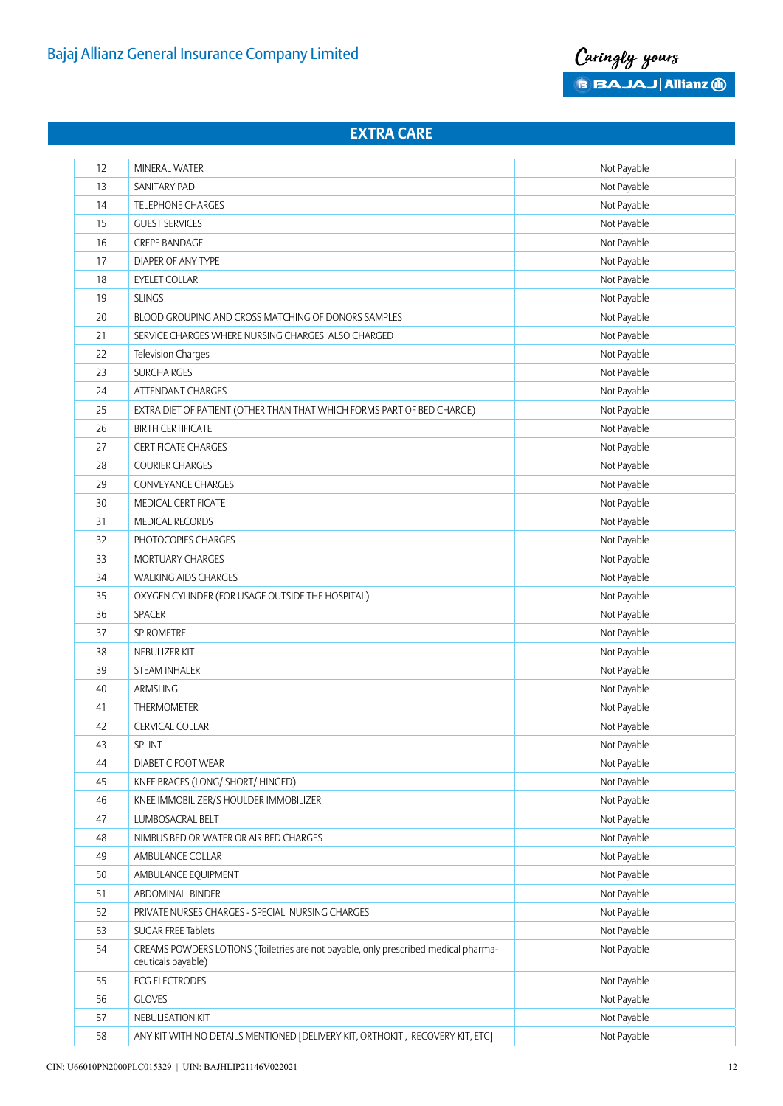

| 12 | MINERAL WATER                                                                                             | Not Payable |
|----|-----------------------------------------------------------------------------------------------------------|-------------|
| 13 | SANITARY PAD                                                                                              | Not Payable |
| 14 | TELEPHONE CHARGES                                                                                         | Not Payable |
| 15 | <b>GUEST SERVICES</b>                                                                                     | Not Payable |
| 16 | CREPE BANDAGE                                                                                             | Not Payable |
| 17 | DIAPER OF ANY TYPE                                                                                        | Not Payable |
| 18 | <b>EYELET COLLAR</b>                                                                                      | Not Payable |
| 19 | <b>SLINGS</b>                                                                                             | Not Payable |
| 20 | BLOOD GROUPING AND CROSS MATCHING OF DONORS SAMPLES                                                       | Not Payable |
| 21 | SERVICE CHARGES WHERE NURSING CHARGES ALSO CHARGED                                                        | Not Payable |
| 22 | Television Charges                                                                                        | Not Payable |
| 23 | SURCHA RGES                                                                                               | Not Payable |
| 24 | ATTENDANT CHARGES                                                                                         | Not Payable |
| 25 | EXTRA DIET OF PATIENT (OTHER THAN THAT WHICH FORMS PART OF BED CHARGE)                                    | Not Payable |
| 26 | <b>BIRTH CERTIFICATE</b>                                                                                  | Not Payable |
| 27 | <b>CERTIFICATE CHARGES</b>                                                                                | Not Payable |
| 28 | <b>COURIER CHARGES</b>                                                                                    | Not Payable |
| 29 | CONVEYANCE CHARGES                                                                                        | Not Payable |
| 30 | MEDICAL CERTIFICATE                                                                                       | Not Payable |
| 31 | MEDICAL RECORDS                                                                                           | Not Payable |
| 32 | PHOTOCOPIES CHARGES                                                                                       | Not Payable |
| 33 | MORTUARY CHARGES                                                                                          | Not Payable |
| 34 | <b>WALKING AIDS CHARGES</b>                                                                               | Not Payable |
| 35 | OXYGEN CYLINDER (FOR USAGE OUTSIDE THE HOSPITAL)                                                          | Not Payable |
| 36 | SPACER                                                                                                    | Not Payable |
| 37 | SPIROMETRE                                                                                                | Not Payable |
| 38 | NEBULIZER KIT                                                                                             | Not Payable |
| 39 | <b>STEAM INHALER</b>                                                                                      | Not Payable |
| 40 | ARMSLING                                                                                                  | Not Payable |
| 41 | THERMOMETER                                                                                               | Not Payable |
| 42 | <b>CERVICAL COLLAR</b>                                                                                    | Not Payable |
| 43 | SPLINT                                                                                                    | Not Payable |
| 44 | DIABETIC FOOT WEAR                                                                                        | Not Payable |
| 45 | KNEE BRACES (LONG/ SHORT/ HINGED)                                                                         | Not Payable |
| 46 | KNEE IMMOBILIZER/S HOULDER IMMOBILIZER                                                                    | Not Payable |
| 47 | LUMBOSACRAL BELT                                                                                          | Not Payable |
| 48 | NIMBUS BED OR WATER OR AIR BED CHARGES                                                                    | Not Payable |
| 49 | AMBULANCE COLLAR                                                                                          | Not Payable |
| 50 | AMBULANCE EQUIPMENT                                                                                       | Not Payable |
| 51 | ABDOMINAL BINDER                                                                                          | Not Payable |
| 52 | PRIVATE NURSES CHARGES - SPECIAL NURSING CHARGES                                                          | Not Payable |
| 53 | SUGAR FREE Tablets                                                                                        | Not Payable |
| 54 | CREAMS POWDERS LOTIONS (Toiletries are not payable, only prescribed medical pharma-<br>ceuticals payable) | Not Payable |
| 55 | <b>ECG ELECTRODES</b>                                                                                     | Not Payable |
| 56 | <b>GLOVES</b>                                                                                             | Not Payable |
| 57 | NEBULISATION KIT                                                                                          | Not Payable |
| 58 | ANY KIT WITH NO DETAILS MENTIONED [DELIVERY KIT, ORTHOKIT, RECOVERY KIT, ETC]                             | Not Payable |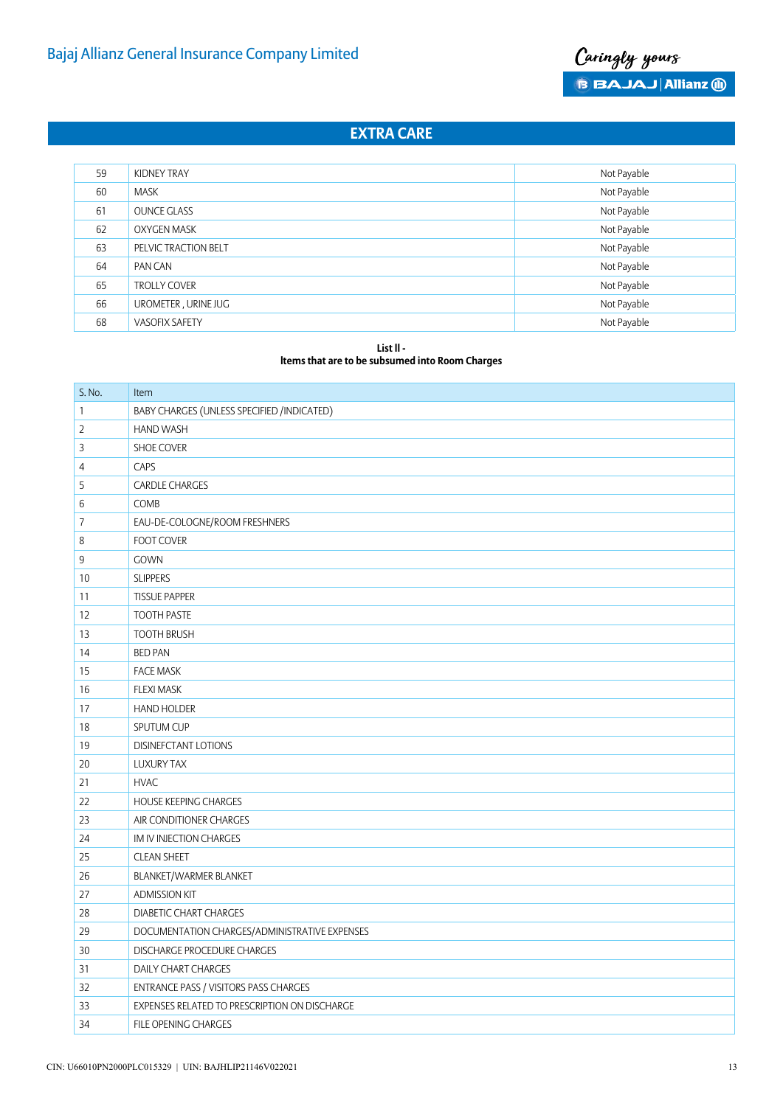

| 59 | KIDNEY TRAY           | Not Payable |
|----|-----------------------|-------------|
| 60 | <b>MASK</b>           | Not Payable |
| 61 | <b>OUNCE GLASS</b>    | Not Payable |
| 62 | <b>OXYGEN MASK</b>    | Not Payable |
| 63 | PELVIC TRACTION BELT  | Not Payable |
| 64 | PAN CAN               | Not Payable |
| 65 | <b>TROLLY COVER</b>   | Not Payable |
| 66 | UROMETER, URINE JUG   | Not Payable |
| 68 | <b>VASOFIX SAFETY</b> | Not Payable |

#### **List ll -**

**ltems that are to be subsumed into Room Charges**

| S. No.         | Item                                          |
|----------------|-----------------------------------------------|
| $\mathbf{1}$   | BABY CHARGES (UNLESS SPECIFIED / INDICATED)   |
| $\overline{2}$ | <b>HAND WASH</b>                              |
| 3              | SHOE COVER                                    |
| 4              | CAPS                                          |
| 5              | <b>CARDLE CHARGES</b>                         |
| 6              | COMB                                          |
| 7              | EAU-DE-COLOGNE/ROOM FRESHNERS                 |
| 8              | <b>FOOT COVER</b>                             |
| 9              | <b>GOWN</b>                                   |
| 10             | <b>SLIPPERS</b>                               |
| 11             | <b>TISSUE PAPPER</b>                          |
| 12             | <b>TOOTH PASTE</b>                            |
| 13             | <b>TOOTH BRUSH</b>                            |
| 14             | <b>BED PAN</b>                                |
| 15             | <b>FACE MASK</b>                              |
| 16             | <b>FLEXI MASK</b>                             |
| 17             | <b>HAND HOLDER</b>                            |
| 18             | SPUTUM CUP                                    |
| 19             | DISINEFCTANT LOTIONS                          |
| 20             | <b>LUXURY TAX</b>                             |
| 21             | <b>HVAC</b>                                   |
| 22             | <b>HOUSE KEEPING CHARGES</b>                  |
| 23             | AIR CONDITIONER CHARGES                       |
| 24             | IM IV INJECTION CHARGES                       |
| 25             | <b>CLEAN SHEET</b>                            |
| 26             | BLANKET/WARMER BLANKET                        |
| 27             | <b>ADMISSION KIT</b>                          |
| 28             | <b>DIABETIC CHART CHARGES</b>                 |
| 29             | DOCUMENTATION CHARGES/ADMINISTRATIVE EXPENSES |
| 30             | DISCHARGE PROCEDURE CHARGES                   |
| 31             | DAILY CHART CHARGES                           |
| 32             | ENTRANCE PASS / VISITORS PASS CHARGES         |
| 33             | EXPENSES RELATED TO PRESCRIPTION ON DISCHARGE |
| 34             | FILE OPENING CHARGES                          |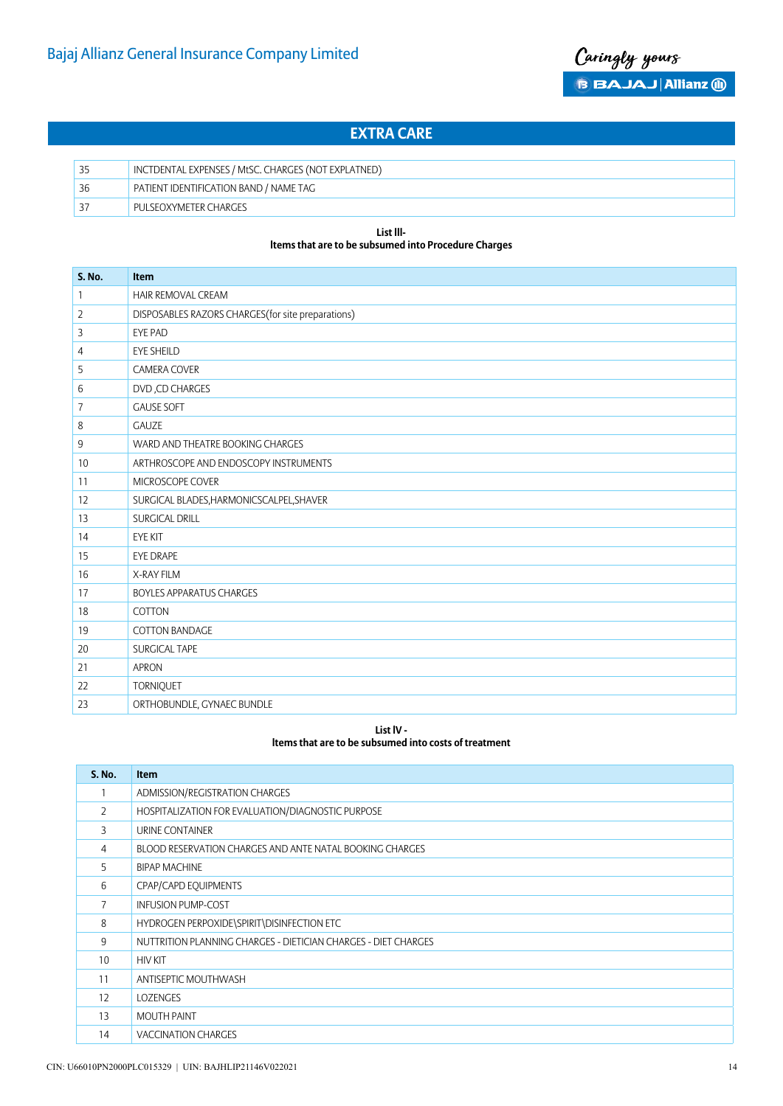

| 35 | INCTDENTAL EXPENSES / MtSC. CHARGES (NOT EXPLATNED) |
|----|-----------------------------------------------------|
| 36 | PATIENT IDENTIFICATION BAND / NAME TAG              |
| 37 | PULSEOXYMETER CHARGES                               |

#### **List lllltems that are to be subsumed into Procedure Charges**

| <b>S. No.</b> | Item                                               |
|---------------|----------------------------------------------------|
| $\mathbf{1}$  | HAIR REMOVAL CREAM                                 |
| 2             | DISPOSABLES RAZORS CHARGES (for site preparations) |
| 3             | EYE PAD                                            |
| 4             | <b>EYE SHEILD</b>                                  |
| 5             | <b>CAMERA COVER</b>                                |
| 6             | DVD, CD CHARGES                                    |
| 7             | <b>GAUSE SOFT</b>                                  |
| 8             | <b>GAUZE</b>                                       |
| 9             | WARD AND THEATRE BOOKING CHARGES                   |
| 10            | ARTHROSCOPE AND ENDOSCOPY INSTRUMENTS              |
| 11            | MICROSCOPE COVER                                   |
| 12            | SURGICAL BLADES, HARMONICSCALPEL, SHAVER           |
| 13            | SURGICAL DRILL                                     |
| 14            | <b>EYE KIT</b>                                     |
| 15            | <b>EYE DRAPE</b>                                   |
| 16            | X-RAY FILM                                         |
| 17            | <b>BOYLES APPARATUS CHARGES</b>                    |
| 18            | COTTON                                             |
| 19            | COTTON BANDAGE                                     |
| 20            | SURGICAL TAPE                                      |
| 21            | APRON                                              |
| 22            | <b>TORNIQUET</b>                                   |
| 23            | ORTHOBUNDLE, GYNAEC BUNDLE                         |

**List lV -** 

#### **ltems that are to be subsumed into costs of treatment**

| <b>S. No.</b>  | <b>Item</b>                                                    |
|----------------|----------------------------------------------------------------|
|                | ADMISSION/REGISTRATION CHARGES                                 |
| $\overline{2}$ | HOSPITALIZATION FOR EVALUATION/DIAGNOSTIC PURPOSE              |
| 3              | URINE CONTAINER                                                |
| 4              | BLOOD RESERVATION CHARGES AND ANTE NATAL BOOKING CHARGES       |
| 5              | <b>BIPAP MACHINE</b>                                           |
| 6              | CPAP/CAPD EQUIPMENTS                                           |
| $\overline{7}$ | <b>INFUSION PUMP-COST</b>                                      |
| 8              | HYDROGEN PERPOXIDE\SPIRIT\DISINFECTION ETC                     |
| 9              | NUTTRITION PLANNING CHARGES - DIETICIAN CHARGES - DIET CHARGES |
| 10             | <b>HIV KIT</b>                                                 |
| 11             | ANTISEPTIC MOUTHWASH                                           |
| 12             | <b>LOZENGES</b>                                                |
| 13             | <b>MOUTH PAINT</b>                                             |
| 14             | <b>VACCINATION CHARGES</b>                                     |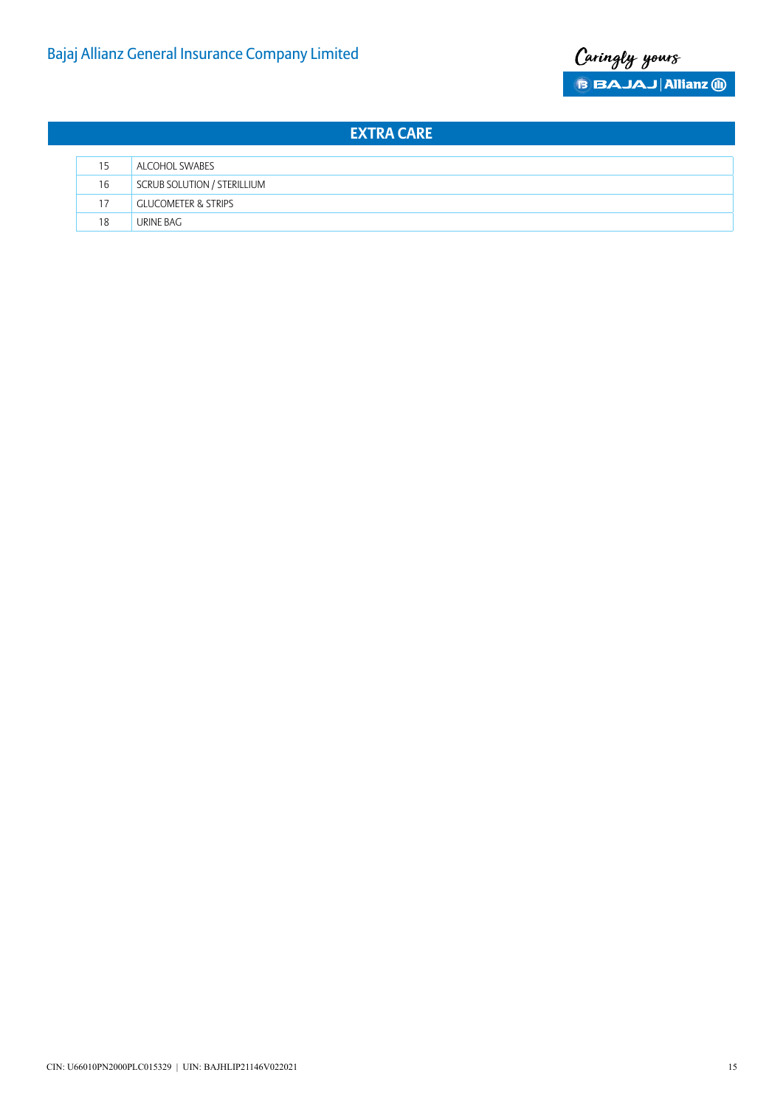

| 15 | ALCOHOL SWABES                 |
|----|--------------------------------|
| 16 | SCRUB SOLUTION / STERILLIUM    |
| 17 | <b>GLUCOMETER &amp; STRIPS</b> |
| 18 | URINE BAG                      |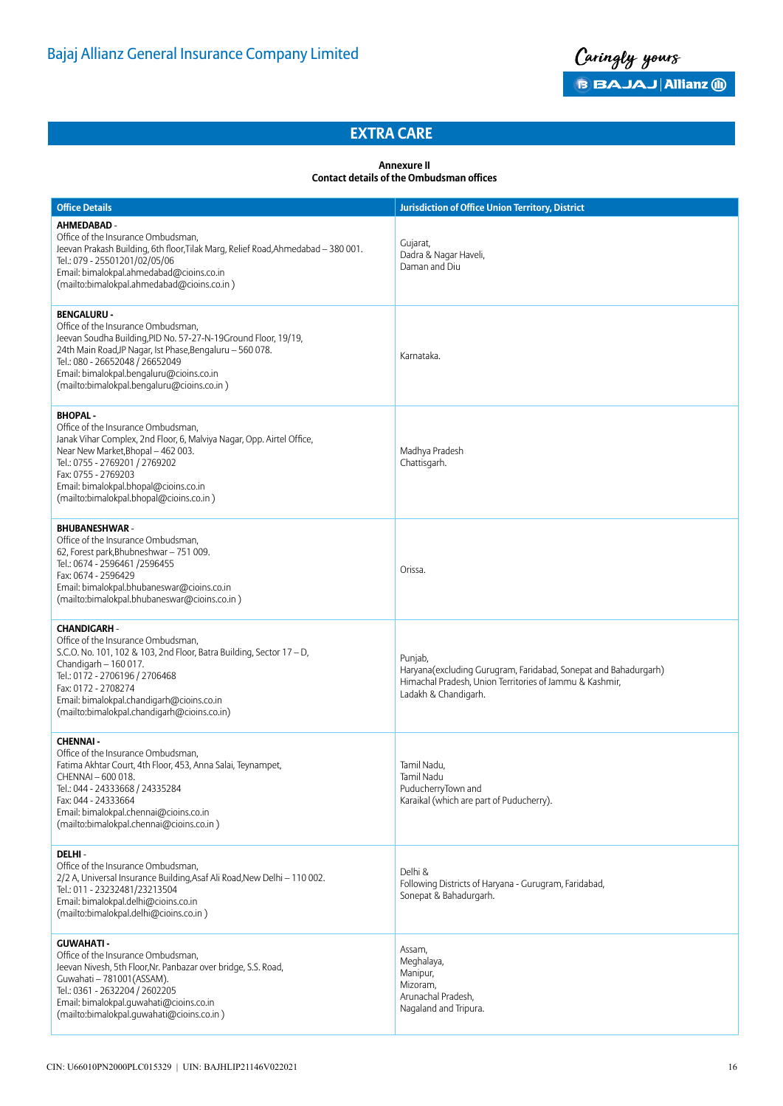

#### **Annexure II Contact details of the Ombudsman offices**

| <b>Office Details</b>                                                                                                                                                                                                                                                                                                | <b>Jurisdiction of Office Union Territory, District</b>                                                                                                       |
|----------------------------------------------------------------------------------------------------------------------------------------------------------------------------------------------------------------------------------------------------------------------------------------------------------------------|---------------------------------------------------------------------------------------------------------------------------------------------------------------|
| AHMEDABAD -<br>Office of the Insurance Ombudsman,<br>Jeevan Prakash Building, 6th floor, Tilak Marg, Relief Road, Ahmedabad - 380 001.<br>Tel.: 079 - 25501201/02/05/06<br>Email: bimalokpal.ahmedabad@cioins.co.in<br>(mailto:bimalokpal.ahmedabad@cioins.co.in)                                                    | Gujarat,<br>Dadra & Nagar Haveli,<br>Daman and Diu                                                                                                            |
| <b>BENGALURU -</b><br>Office of the Insurance Ombudsman,<br>Jeevan Soudha Building, PID No. 57-27-N-19Ground Floor, 19/19,<br>24th Main Road, JP Nagar, Ist Phase, Bengaluru - 560 078.<br>Tel.: 080 - 26652048 / 26652049<br>Email: bimalokpal.bengaluru@cioins.co.in<br>(mailto:bimalokpal.bengaluru@cioins.co.in) | Karnataka.                                                                                                                                                    |
| <b>BHOPAL-</b><br>Office of the Insurance Ombudsman,<br>Janak Vihar Complex, 2nd Floor, 6, Malviya Nagar, Opp. Airtel Office,<br>Near New Market, Bhopal - 462 003.<br>Tel.: 0755 - 2769201 / 2769202<br>Fax: 0755 - 2769203<br>Email: bimalokpal.bhopal@cioins.co.in<br>(mailto:bimalokpal.bhopal@cioins.co.in)     | Madhya Pradesh<br>Chattisgarh.                                                                                                                                |
| <b>BHUBANESHWAR-</b><br>Office of the Insurance Ombudsman,<br>62, Forest park, Bhubneshwar - 751 009.<br>Tel.: 0674 - 2596461 /2596455<br>Fax: 0674 - 2596429<br>Email: bimalokpal.bhubaneswar@cioins.co.in<br>(mailto:bimalokpal.bhubaneswar@cioins.co.in)                                                          | Orissa.                                                                                                                                                       |
| <b>CHANDIGARH -</b><br>Office of the Insurance Ombudsman,<br>S.C.O. No. 101, 102 & 103, 2nd Floor, Batra Building, Sector 17 - D,<br>Chandigarh - 160 017.<br>Tel.: 0172 - 2706196 / 2706468<br>Fax: 0172 - 2708274<br>Email: bimalokpal.chandigarh@cioins.co.in<br>(mailto:bimalokpal.chandigarh@cioins.co.in)      | Punjab,<br>Haryana(excluding Gurugram, Faridabad, Sonepat and Bahadurgarh)<br>Himachal Pradesh, Union Territories of Jammu & Kashmir,<br>Ladakh & Chandigarh. |
| <b>CHENNAI-</b><br>Office of the Insurance Ombudsman,<br>Fatima Akhtar Court, 4th Floor, 453, Anna Salai, Teynampet,<br>CHENNAI - 600 018.<br>Tel.: 044 - 24333668 / 24335284<br>Fax: 044 - 24333664<br>Email: bimalokpal.chennai@cioins.co.in<br>(mailto:bimalokpal.chennai@cioins.co.in)                           | Tamil Nadu.<br>Tamil Nadu<br>PuducherryTown and<br>Karaikal (which are part of Puducherry).                                                                   |
| DELHI-<br>Office of the Insurance Ombudsman,<br>2/2 A, Universal Insurance Building, Asaf Ali Road, New Delhi - 110 002.<br>Tel.: 011 - 23232481/23213504<br>Email: bimalokpal.delhi@cioins.co.in<br>(mailto:bimalokpal.delhi@cioins.co.in)                                                                          | Delhi &<br>Following Districts of Haryana - Gurugram, Faridabad,<br>Sonepat & Bahadurgarh.                                                                    |
| <b>GUWAHATI -</b><br>Office of the Insurance Ombudsman,<br>Jeevan Nivesh, 5th Floor, Nr. Panbazar over bridge, S.S. Road,<br>Guwahati - 781001 (ASSAM).<br>Tel.: 0361 - 2632204 / 2602205<br>Email: bimalokpal.quwahati@cioins.co.in<br>(mailto:bimalokpal.quwahati@cioins.co.in)                                    | Assam,<br>Meghalaya,<br>Manipur,<br>Mizoram,<br>Arunachal Pradesh,<br>Nagaland and Tripura.                                                                   |